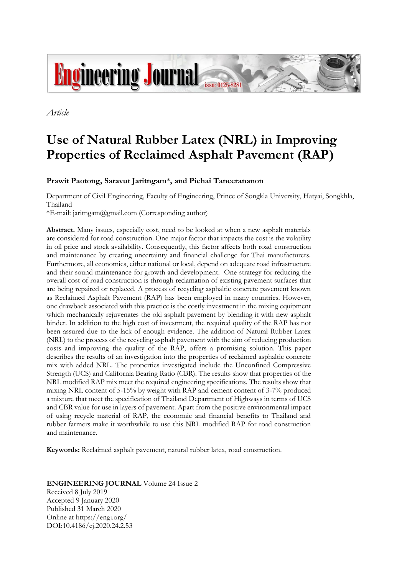

*Article*

# **Use of Natural Rubber Latex (NRL) in Improving Properties of Reclaimed Asphalt Pavement (RAP)**

# **Prawit Paotong, Saravut Jaritngam**\***, and Pichai Taneerananon**

Department of Civil Engineering, Faculty of Engineering, Prince of Songkla University, Hatyai, Songkhla, Thailand

\*E-mail: jaritngam@gmail.com (Corresponding author)

**Abstract.** Many issues, especially cost, need to be looked at when a new asphalt materials are considered for road construction. One major factor that impacts the cost is the volatility in oil price and stock availability. Consequently, this factor affects both road construction and maintenance by creating uncertainty and financial challenge for Thai manufacturers. Furthermore, all economies, either national or local, depend on adequate road infrastructure and their sound maintenance for growth and development. One strategy for reducing the overall cost of road construction is through reclamation of existing pavement surfaces that are being repaired or replaced. A process of recycling asphaltic concrete pavement known as Reclaimed Asphalt Pavement (RAP) has been employed in many countries. However, one drawback associated with this practice is the costly investment in the mixing equipment which mechanically rejuvenates the old asphalt pavement by blending it with new asphalt binder. In addition to the high cost of investment, the required quality of the RAP has not been assured due to the lack of enough evidence. The addition of Natural Rubber Latex (NRL) to the process of the recycling asphalt pavement with the aim of reducing production costs and improving the quality of the RAP, offers a promising solution. This paper describes the results of an investigation into the properties of reclaimed asphaltic concrete mix with added NRL. The properties investigated include the Unconfined Compressive Strength (UCS) and California Bearing Ratio (CBR). The results show that properties of the NRL modified RAP mix meet the required engineering specifications. The results show that mixing NRL content of 5-15% by weight with RAP and cement content of 3-7% produced a mixture that meet the specification of Thailand Department of Highways in terms of UCS and CBR value for use in layers of pavement. Apart from the positive environmental impact of using recycle material of RAP, the economic and financial benefits to Thailand and rubber farmers make it worthwhile to use this NRL modified RAP for road construction and maintenance.

**Keywords:** Reclaimed asphalt pavement, natural rubber latex, road construction.

# **ENGINEERING JOURNAL** Volume 24 Issue 2

Received 8 July 2019 Accepted 9 January 2020 Published 31 March 2020 Online at https://engj.org/ DOI:10.4186/ej.2020.24.2.53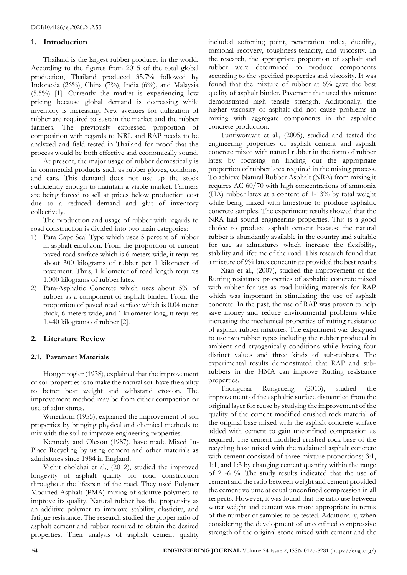# **1. Introduction**

Thailand is the largest rubber producer in the world. According to the figures from 2015 of the total global production, Thailand produced 35.7% followed by Indonesia (26%), China (7%), India (6%), and Malaysia (5.5%) [1]. Currently the market is experiencing low pricing because global demand is decreasing while inventory is increasing. New avenues for utilization of rubber are required to sustain the market and the rubber farmers. The previously expressed proportion of composition with regards to NRL and RAP needs to be analyzed and field tested in Thailand for proof that the process would be both effective and economically sound.

At present, the major usage of rubber domestically is in commercial products such as rubber gloves, condoms, and cars. This demand does not use up the stock sufficiently enough to maintain a viable market. Farmers are being forced to sell at prices below production cost due to a reduced demand and glut of inventory collectively.

The production and usage of rubber with regards to road construction is divided into two main categories:

- 1) Para Cape Seal Type which uses 5 percent of rubber in asphalt emulsion. From the proportion of current paved road surface which is 6 meters wide, it requires about 300 kilograms of rubber per 1 kilometer of pavement. Thus, 1 kilometer of road length requires 1,000 kilograms of rubber latex.
- 2) Para-Asphaltic Concrete which uses about 5% of rubber as a component of asphalt binder. From the proportion of paved road surface which is 0.04 meter thick, 6 meters wide, and 1 kilometer long, it requires 1,440 kilograms of rubber [2].

# **2. Literature Review**

# **2.1. Pavement Materials**

Hongentogler (1938), explained that the improvement of soil properties is to make the natural soil have the ability to better bear weight and withstand erosion. The improvement method may be from either compaction or use of admixtures.

Winerkorn (1955), explained the improvement of soil properties by bringing physical and chemical methods to mix with the soil to improve engineering properties.

Kennedy and Oleson (1987), have made Mixed In-Place Recycling by using cement and other materials as admixtures since 1984 in England.

Vichit cholchai et al., (2012), studied the improved longevity of asphalt quality for road construction throughout the lifespan of the road. They used Polymer Modified Asphalt (PMA) mixing of additive polymers to improve its quality. Natural rubber has the propensity as an additive polymer to improve stability, elasticity, and fatigue resistance. The research studied the proper ratio of asphalt cement and rubber required to obtain the desired properties. Their analysis of asphalt cement quality included softening point, penetration index, ductility, torsional recovery, toughness-tenacity, and viscosity. In the research, the appropriate proportion of asphalt and rubber were determined to produce components according to the specified properties and viscosity. It was found that the mixture of rubber at 6% gave the best quality of asphalt binder. Pavement that used this mixture demonstrated high tensile strength. Additionally, the higher viscosity of asphalt did not cause problems in mixing with aggregate components in the asphaltic concrete production.

Tuntiworawit et al., (2005), studied and tested the engineering properties of asphalt cement and asphalt concrete mixed with natural rubber in the form of rubber latex by focusing on finding out the appropriate proportion of rubber latex required in the mixing process. To achieve Natural Rubber Asphalt (NRA) from mixing it requires AC 60/70 with high concentrations of ammonia (HA) rubber latex at a content of 1-13% by total weight while being mixed with limestone to produce asphaltic concrete samples. The experiment results showed that the NRA had sound engineering properties. This is a good choice to produce asphalt cement because the natural rubber is abundantly available in the country and suitable for use as admixtures which increase the flexibility, stability and lifetime of the road. This research found that a mixture of 9% latex concentrate provided the best results.

Xiao et al., (2007), studied the improvement of the Rutting resistance properties of asphaltic concrete mixed with rubber for use as road building materials for RAP which was important in stimulating the use of asphalt concrete. In the past, the use of RAP was proven to help save money and reduce environmental problems while increasing the mechanical properties of rutting resistance of asphalt-rubber mixtures. The experiment was designed to use two rubber types including the rubber produced in ambient and cryogenically conditions while having four distinct values and three kinds of sub-rubbers. The experimental results demonstrated that RAP and subrubbers in the HMA can improve Rutting resistance properties.

Thongchai Rungrueng (2013), studied the improvement of the asphaltic surface dismantled from the original layer for reuse by studying the improvement of the quality of the cement modified crushed rock material of the original base mixed with the asphalt concrete surface added with cement to gain unconfined compression as required. The cement modified crushed rock base of the recycling base mixed with the reclaimed asphalt concrete with cement consisted of three mixture proportions; 3:1, 1:1, and 1:3 by changing cement quantity within the range of 2 -6 %. The study results indicated that the use of cement and the ratio between weight and cement provided the cement volume at equal unconfined compression in all respects. However, it was found that the ratio use between water weight and cement was more appropriate in terms of the number of samples to be tested. Additionally, when considering the development of unconfined compressive strength of the original stone mixed with cement and the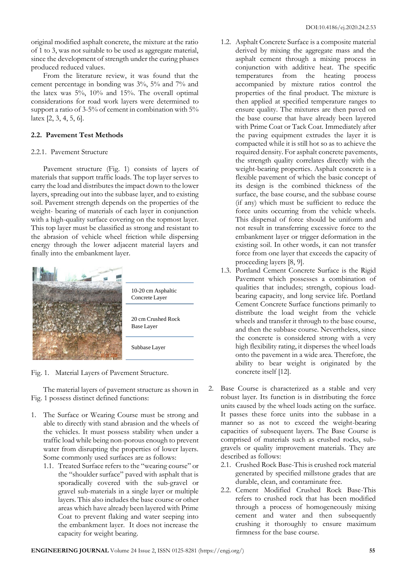original modified asphalt concrete, the mixture at the ratio of 1 to 3, was not suitable to be used as aggregate material, since the development of strength under the curing phases produced reduced values.

From the literature review, it was found that the cement percentage in bonding was 3%, 5% and 7% and the latex was 5%, 10% and 15%. The overall optimal considerations for road work layers were determined to support a ratio of 3-5% of cement in combination with 5% latex [2, 3, 4, 5, 6].

## **2.2. Pavement Test Methods**

## 2.2.1. Pavement Structure

Pavement structure (Fig. 1) consists of layers of materials that support traffic loads. The top layer serves to carry the load and distributes the impact down to the lower layers, spreading out into the subbase layer, and to existing soil. Pavement strength depends on the properties of the weight- bearing of materials of each layer in conjunction with a high-quality surface covering on the topmost layer. This top layer must be classified as strong and resistant to the abrasion of vehicle wheel friction while dispersing energy through the lower adjacent material layers and finally into the embankment layer.



Fig. 1. Material Layers of Pavement Structure.

The material layers of pavement structure as shown in Fig. 1 possess distinct defined functions:

- 1. The Surface or Wearing Course must be strong and able to directly with stand abrasion and the wheels of the vehicles. It must possess stability when under a traffic load while being non-porous enough to prevent water from disrupting the properties of lower layers. Some commonly used surfaces are as follows:
	- 1.1. Treated Surface refers to the "wearing course" or the "shoulder surface" paved with asphalt that is sporadically covered with the sub-gravel or gravel sub-materials in a single layer or multiple layers. This also includes the base course or other areas which have already been layered with Prime Coat to prevent flaking and water seeping into the embankment layer. It does not increase the capacity for weight bearing.
- 1.2. Asphalt Concrete Surface is a composite material derived by mixing the aggregate mass and the asphalt cement through a mixing process in conjunction with additive heat. The specific temperatures from the heating process accompanied by mixture ratios control the properties of the final product. The mixture is then applied at specified temperature ranges to ensure quality. The mixtures are then paved on the base course that have already been layered with Prime Coat or Tack Coat. Immediately after the paving equipment extrudes the layer it is compacted while it is still hot so as to achieve the required density. For asphalt concrete pavements, the strength quality correlates directly with the weight-bearing properties. Asphalt concrete is a flexible pavement of which the basic concept of its design is the combined thickness of the surface, the base course, and the subbase course (if any) which must be sufficient to reduce the force units occurring from the vehicle wheels. This dispersal of force should be uniform and not result in transferring excessive force to the embankment layer or trigger deformation in the existing soil. In other words, it can not transfer force from one layer that exceeds the capacity of proceeding layers [8, 9].
- 1.3. Portland Cement Concrete Surface is the Rigid Pavement which possesses a combination of qualities that includes; strength, copious loadbearing capacity, and long service life. Portland Cement Concrete Surface functions primarily to distribute the load weight from the vehicle wheels and transfer it through to the base course, and then the subbase course. Nevertheless, since the concrete is considered strong with a very high flexibility rating, it disperses the wheel loads onto the pavement in a wide area. Therefore, the ability to bear weight is originated by the concrete itself [12].
- 2. Base Course is characterized as a stable and very robust layer. Its function is in distributing the force units caused by the wheel loads acting on the surface. It passes these force units into the subbase in a manner so as not to exceed the weight-bearing capacities of subsequent layers. The Base Course is comprised of materials such as crushed rocks, subgravels or quality improvement materials. They are described as follows:
	- 2.1. Crushed Rock Base-This is crushed rock material generated by specified millstone grades that are durable, clean, and contaminate free.
	- 2.2. Cement Modified Crushed Rock Base-This refers to crushed rock that has been modified through a process of homogeneously mixing cement and water and then subsequently crushing it thoroughly to ensure maximum firmness for the base course.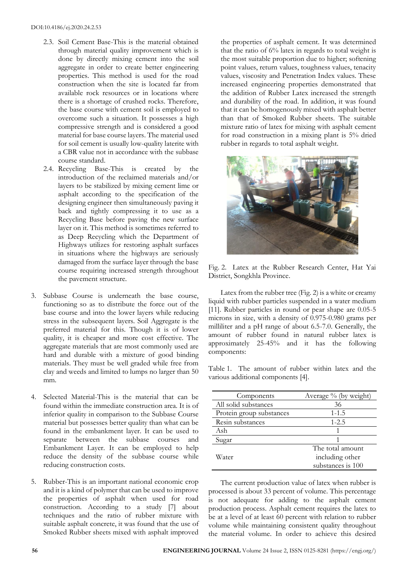- 2.3. Soil Cement Base-This is the material obtained through material quality improvement which is done by directly mixing cement into the soil aggregate in order to create better engineering properties. This method is used for the road construction when the site is located far from available rock resources or in locations where there is a shortage of crushed rocks. Therefore, the base course with cement soil is employed to overcome such a situation. It possesses a high compressive strength and is considered a good material for base course layers. The material used for soil cement is usually low-quality laterite with a CBR value not in accordance with the subbase course standard.
- 2.4. Recycling Base-This is created by the introduction of the reclaimed materials and/or layers to be stabilized by mixing cement lime or asphalt according to the specification of the designing engineer then simultaneously paving it back and tightly compressing it to use as a Recycling Base before paving the new surface layer on it. This method is sometimes referred to as Deep Recycling which the Department of Highways utilizes for restoring asphalt surfaces in situations where the highways are seriously damaged from the surface layer through the base course requiring increased strength throughout the pavement structure.
- 3. Subbase Course is underneath the base course, functioning so as to distribute the force out of the base course and into the lower layers while reducing stress in the subsequent layers. Soil Aggregate is the preferred material for this. Though it is of lower quality, it is cheaper and more cost effective. The aggregate materials that are most commonly used are hard and durable with a mixture of good binding materials. They must be well graded while free from clay and weeds and limited to lumps no larger than 50 mm.
- 4. Selected Material-This is the material that can be found within the immediate construction area. It is of inferior quality in comparison to the Subbase Course material but possesses better quality than what can be found in the embankment layer. It can be used to separate between the subbase courses and Embankment Layer. It can be employed to help reduce the density of the subbase course while reducing construction costs.
- 5. Rubber-This is an important national economic crop and it is a kind of polymer that can be used to improve the properties of asphalt when used for road construction. According to a study [7] about techniques and the ratio of rubber mixture with suitable asphalt concrete, it was found that the use of Smoked Rubber sheets mixed with asphalt improved

the properties of asphalt cement. It was determined that the ratio of 6% latex in regards to total weight is the most suitable proportion due to higher; softening point values, return values, toughness values, tenacity values, viscosity and Penetration Index values. These increased engineering properties demonstrated that the addition of Rubber Latex increased the strength and durability of the road. In addition, it was found that it can be homogenously mixed with asphalt better than that of Smoked Rubber sheets. The suitable mixture ratio of latex for mixing with asphalt cement for road construction in a mixing plant is 5% dried rubber in regards to total asphalt weight.



Fig. 2. Latex at the Rubber Research Center, Hat Yai District, Songkhla Province.

Latex from the rubber tree (Fig. 2) is a white or creamy liquid with rubber particles suspended in a water medium [11]. Rubber particles in round or pear shape are 0.05-5 microns in size, with a density of 0.975-0.980 grams per milliliter and a pH range of about 6.5-7.0. Generally, the amount of rubber found in natural rubber latex is approximately 25-45% and it has the following components:

Table 1. The amount of rubber within latex and the various additional components [4].

| Components               | Average % (by weight) |  |  |
|--------------------------|-----------------------|--|--|
| All solid substances     | 36                    |  |  |
| Protein group substances | $1 - 1.5$             |  |  |
| Resin substances         | $1 - 2.5$             |  |  |
| Ash                      |                       |  |  |
| Sugar                    |                       |  |  |
|                          | The total amount      |  |  |
| Water                    | including other       |  |  |
|                          | substances is 100     |  |  |

The current production value of latex when rubber is processed is about 33 percent of volume. This percentage is not adequate for adding to the asphalt cement production process. Asphalt cement requires the latex to be at a level of at least 60 percent with relation to rubber volume while maintaining consistent quality throughout the material volume. In order to achieve this desired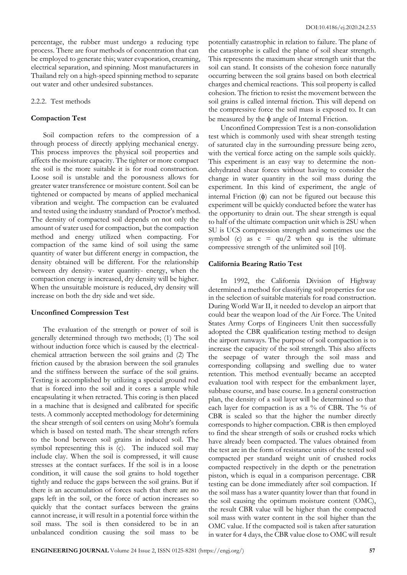percentage, the rubber must undergo a reducing type process. There are four methods of concentration that can be employed to generate this; water evaporation, creaming, electrical separation, and spinning. Most manufacturers in Thailand rely on a high-speed spinning method to separate out water and other undesired substances.

#### 2.2.2. Test methods

#### **Compaction Test**

Soil compaction refers to the compression of a through process of directly applying mechanical energy. This process improves the physical soil properties and affects the moisture capacity. The tighter or more compact the soil is the more suitable it is for road construction. Loose soil is unstable and the porousness allows for greater water transference or moisture content. Soil can be tightened or compacted by means of applied mechanical vibration and weight. The compaction can be evaluated and tested using the industry standard of Proctor's method. The density of compacted soil depends on not only the amount of water used for compaction, but the compaction method and energy utilized when compacting. For compaction of the same kind of soil using the same quantity of water but different energy in compaction, the density obtained will be different. For the relationship between dry density- water quantity- energy, when the compaction energy is increased, dry density will be higher. When the unsuitable moisture is reduced, dry density will increase on both the dry side and wet side.

#### **Unconfined Compression Test**

The evaluation of the strength or power of soil is generally determined through two methods; (1) The soil without induction force which is caused by the electricalchemical attraction between the soil grains and (2) The friction caused by the abrasion between the soil granules and the stiffness between the surface of the soil grains. Testing is accomplished by utilizing a special ground rod that is forced into the soil and it cores a sample while encapsulating it when retracted. This coring is then placed in a machine that is designed and calibrated for specific tests. A commonly accepted methodology for determining the shear strength of soil centers on using Mohr's formula which is based on tested math. The shear strength refers to the bond between soil grains in induced soil. The symbol representing this is (c). The induced soil may include clay. When the soil is compressed, it will cause stresses at the contact surfaces. If the soil is in a loose condition, it will cause the soil grains to hold together tightly and reduce the gaps between the soil grains. But if there is an accumulation of forces such that there are no gaps left in the soil, or the force of action increases so quickly that the contact surfaces between the grains cannot increase, it will result in a potential force within the soil mass. The soil is then considered to be in an unbalanced condition causing the soil mass to be

potentially catastrophic in relation to failure. The plane of the catastrophe is called the plane of soil shear strength. This represents the maximum shear strength unit that the soil can stand. It consists of the cohesion force naturally occurring between the soil grains based on both electrical charges and chemical reactions. This soil property is called cohesion. The friction to resist the movement between the soil grains is called internal friction. This will depend on the compressive force the soil mass is exposed to. It can be measured by the  $\phi$  angle of Internal Friction.

Unconfined Compression Test is a non-consolidation test which is commonly used with shear strength testing of saturated clay in the surrounding pressure being zero, with the vertical force acting on the sample soils quickly. This experiment is an easy way to determine the nondehydrated shear forces without having to consider the change in water quantity in the soil mass during the experiment. In this kind of experiment, the angle of internal Friction  $(\phi)$  can not be figured out because this experiment will be quickly conducted before the water has the opportunity to drain out. The shear strength is equal to half of the ultimate compaction unit which is 2SU when SU is UCS compression strength and sometimes use the symbol (c) as  $c = qu/2$  when qu is the ultimate compressive strength of the unlimited soil [10].

## **California Bearing Ratio Test**

In 1992, the California Division of Highway determined a method for classifying soil properties for use in the selection of suitable materials for road construction. During World War II, it needed to develop an airport that could bear the weapon load of the Air Force. The United States Army Corps of Engineers Unit then successfully adopted the CBR qualification testing method to design the airport runways. The purpose of soil compaction is to increase the capacity of the soil strength. This also affects the seepage of water through the soil mass and corresponding collapsing and swelling due to water retention. This method eventually became an accepted evaluation tool with respect for the embankment layer, subbase course, and base course. In a general construction plan, the density of a soil layer will be determined so that each layer for compaction is as a % of CBR. The % of CBR is scaled so that the higher the number directly corresponds to higher compaction. CBR is then employed to find the shear strength of soils or crushed rocks which have already been compacted. The values obtained from the test are in the form of resistance units of the tested soil compacted per standard weight unit of crushed rocks compacted respectively in the depth or the penetration piston, which is equal in a comparison percentage. CBR testing can be done immediately after soil compaction. If the soil mass has a water quantity lower than that found in the soil causing the optimum moisture content (OMC), the result CBR value will be higher than the compacted soil mass with water content in the soil higher than the OMC value. If the compacted soil is taken after saturation in water for 4 days, the CBR value close to OMC will result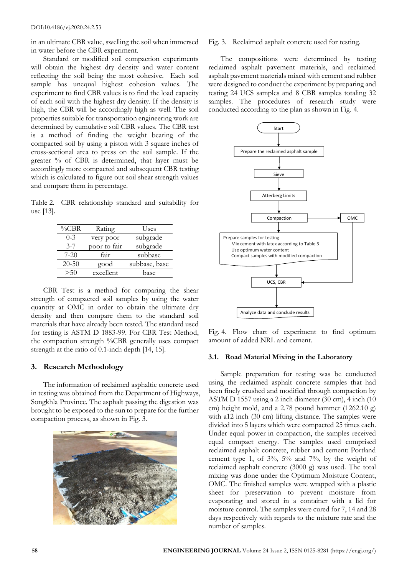in an ultimate CBR value, swelling the soil when immersed in water before the CBR experiment.

Standard or modified soil compaction experiments will obtain the highest dry density and water content reflecting the soil being the most cohesive. Each soil sample has unequal highest cohesion values. The experiment to find CBR values is to find the load capacity of each soil with the highest dry density. If the density is high, the CBR will be accordingly high as well. The soil properties suitable for transportation engineering work are determined by cumulative soil CBR values. The CBR test is a method of finding the weight bearing of the compacted soil by using a piston with 3 square inches of cross-sectional area to press on the soil sample. If the greater % of CBR is determined, that layer must be accordingly more compacted and subsequent CBR testing which is calculated to figure out soil shear strength values and compare them in percentage.

Table 2. CBR relationship standard and suitability for use [13].

| $\%$ CBR  | Rating       | Uses          |
|-----------|--------------|---------------|
| $0 - 3$   | very poor    | subgrade      |
| $3 - 7$   | poor to fair | subgrade      |
| $7 - 20$  | fair         | subbase       |
| $20 - 50$ | good         | subbase, base |
| >50       | excellent    | base          |
|           |              |               |

CBR Test is a method for comparing the shear strength of compacted soil samples by using the water quantity at OMC in order to obtain the ultimate dry density and then compare them to the standard soil materials that have already been tested. The standard used for testing is ASTM D 1883-99. For CBR Test Method, the compaction strength %CBR generally uses compact strength at the ratio of 0.1-inch depth [14, 15].

# **3. Research Methodology**

The information of reclaimed asphaltic concrete used in testing was obtained from the Department of Highways, Songkhla Province. The asphalt passing the digestion was brought to be exposed to the sun to prepare for the further compaction process, as shown in Fig. 3.



#### Fig. 3. Reclaimed asphalt concrete used for testing.

The compositions were determined by testing reclaimed asphalt pavement materials, and reclaimed asphalt pavement materials mixed with cement and rubber were designed to conduct the experiment by preparing and testing 24 UCS samples and 8 CBR samples totaling 32 samples. The procedures of research study were conducted according to the plan as shown in Fig. 4.



Fig. 4. Flow chart of experiment to find optimum amount of added NRL and cement.

## **3.1. Road Material Mixing in the Laboratory**

Sample preparation for testing was be conducted using the reclaimed asphalt concrete samples that had been finely crushed and modified through compaction by ASTM D 1557 using a 2 inch diameter (30 cm), 4 inch (10 cm) height mold, and a 2.78 pound hammer (1262.10 g) with a12 inch (30 cm) lifting distance. The samples were divided into 5 layers which were compacted 25 times each. Under equal power in compaction, the samples received equal compact energy. The samples used comprised reclaimed asphalt concrete, rubber and cement: Portland cement type 1, of 3%, 5% and 7%, by the weight of reclaimed asphalt concrete (3000 g) was used. The total mixing was done under the Optimum Moisture Content, OMC. The finished samples were wrapped with a plastic sheet for preservation to prevent moisture from evaporating and stored in a container with a lid for moisture control. The samples were cured for 7, 14 and 28 days respectively with regards to the mixture rate and the number of samples.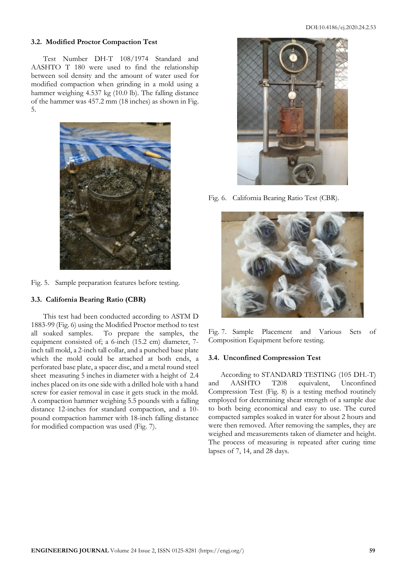#### **3.2. Modified Proctor Compaction Test**

Test Number DH-T 108/1974 Standard and AASHTO T 180 were used to find the relationship between soil density and the amount of water used for modified compaction when grinding in a mold using a hammer weighing 4.537 kg (10.0 lb). The falling distance of the hammer was 457.2 mm (18 inches) as shown in Fig. 5.



Fig. 5. Sample preparation features before testing.

## **3.3. California Bearing Ratio (CBR)**

This test had been conducted according to ASTM D 1883-99 (Fig. 6) using the Modified Proctor method to test all soaked samples. To prepare the samples, the equipment consisted of; a 6-inch (15.2 cm) diameter, 7 inch tall mold, a 2-inch tall collar, and a punched base plate which the mold could be attached at both ends, a perforated base plate, a spacer disc, and a metal round steel sheet measuring 5 inches in diameter with a height of 2.4 inches placed on its one side with a drilled hole with a hand screw for easier removal in case it gets stuck in the mold. A compaction hammer weighing 5.5 pounds with a falling distance 12-inches for standard compaction, and a 10 pound compaction hammer with 18-inch falling distance for modified compaction was used (Fig. 7).



Fig. 6. California Bearing Ratio Test (CBR).



Fig. 7. Sample Placement and Various Sets of Composition Equipment before testing.

#### **3.4. Unconfined Compression Test**

According to STANDARD TESTING (105 DH.-T) and AASHTO T208 equivalent, Unconfined Compression Test (Fig. 8) is a testing method routinely employed for determining shear strength of a sample due to both being economical and easy to use. The cured compacted samples soaked in water for about 2 hours and were then removed. After removing the samples, they are weighed and measurements taken of diameter and height. The process of measuring is repeated after curing time lapses of 7, 14, and 28 days.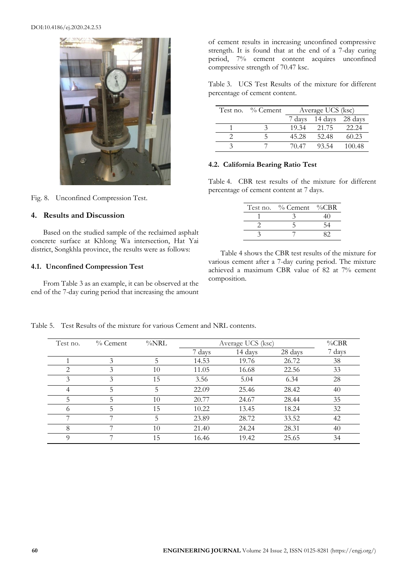## DOI:10.4186/ej.2020.24.2.53



Fig. 8. Unconfined Compression Test.

# **4. Results and Discussion**

Based on the studied sample of the reclaimed asphalt concrete surface at Khlong Wa intersection, Hat Yai district, Songkhla province, the results were as follows:

## **4.1. Unconfined Compression Test**

From Table 3 as an example, it can be observed at the end of the 7-day curing period that increasing the amount of cement results in increasing unconfined compressive strength. It is found that at the end of a 7-day curing period, 7% cement content acquires unconfined compressive strength of 70.47 ksc.

Table 3. UCS Test Results of the mixture for different percentage of cement content.

| Test no. $\%$ Cement | Average UCS (ksc) |                |         |  |
|----------------------|-------------------|----------------|---------|--|
|                      |                   | 7 days 14 days | 28 days |  |
|                      | 19.34             | 21.75          | 22.24   |  |
|                      | 45.28             | 52.48          | 60.23   |  |
|                      | 70.47             | 93.54          | 100.48  |  |

## **4.2. California Bearing Ratio Test**

Table 4. CBR test results of the mixture for different percentage of cement content at 7 days.

| Test no. % Cement %CBR |  |
|------------------------|--|
|                        |  |
|                        |  |
|                        |  |

Table 4 shows the CBR test results of the mixture for various cement after a 7-day curing period. The mixture achieved a maximum CBR value of 82 at 7% cement composition.

| Test no. | $\%$ Cement | %NRL | Average UCS (ksc) |         |         | $\%$ CBR |
|----------|-------------|------|-------------------|---------|---------|----------|
|          |             |      | 7 days            | 14 days | 28 days | 7 days   |
|          | 3           | 5    | 14.53             | 19.76   | 26.72   | 38       |
| 2        | 3           | 10   | 11.05             | 16.68   | 22.56   | 33       |
| 3        | 3           | 15   | 3.56              | 5.04    | 6.34    | 28       |
| 4        | 5.          | 5    | 22.09             | 25.46   | 28.42   | 40       |
|          | 5           | 10   | 20.77             | 24.67   | 28.44   | 35       |
| 6        | 5.          | 15   | 10.22             | 13.45   | 18.24   | 32       |
| ⇁        |             | 5    | 23.89             | 28.72   | 33.52   | 42       |
| 8        |             | 10   | 21.40             | 24.24   | 28.31   | 40       |
| Q        |             | 15   | 16.46             | 19.42   | 25.65   | 34       |

Table 5. Test Results of the mixture for various Cement and NRL contents.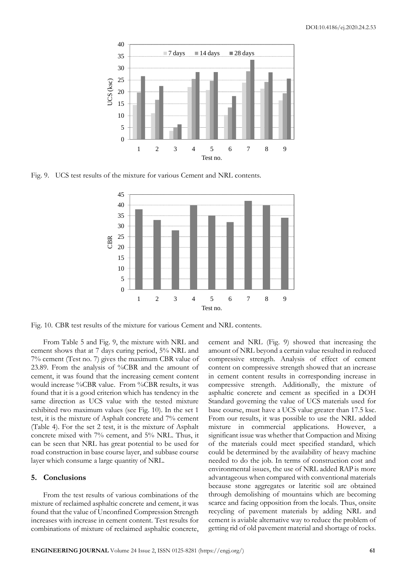

Fig. 9. UCS test results of the mixture for various Cement and NRL contents.



Fig. 10. CBR test results of the mixture for various Cement and NRL contents.

From Table 5 and Fig. 9, the mixture with NRL and cement shows that at 7 days curing period, 5% NRL and 7% cement (Test no. 7) gives the maximum CBR value of 23.89. From the analysis of %CBR and the amount of cement, it was found that the increasing cement content would increase %CBR value. From %CBR results, it was found that it is a good criterion which has tendency in the same direction as UCS value with the tested mixture exhibited two maximum values (see Fig. 10). In the set 1 test, it is the mixture of Asphalt concrete and 7% cement (Table 4). For the set 2 test, it is the mixture of Asphalt concrete mixed with 7% cement, and 5% NRL. Thus, it can be seen that NRL has great potential to be used for road construction in base course layer, and subbase course layer which consume a large quantity of NRL.

## **5. Conclusions**

From the test results of various combinations of the mixture of reclaimed asphaltic concrete and cement, it was found that the value of Unconfined Compression Strength increases with increase in cement content. Test results for combinations of mixture of reclaimed asphaltic concrete, cement and NRL (Fig. 9) showed that increasing the amount of NRL beyond a certain value resulted in reduced compressive strength. Analysis of effect of cement content on compressive strength showed that an increase in cement content results in corresponding increase in compressive strength. Additionally, the mixture of asphaltic concrete and cement as specified in a DOH Standard governing the value of UCS materials used for base course, must have a UCS value greater than 17.5 ksc. From our results, it was possible to use the NRL added mixture in commercial applications. However, a significant issue was whether that Compaction and Mixing of the materials could meet specified standard, which could be determined by the availability of heavy machine needed to do the job. In terms of construction cost and environmental issues, the use of NRL added RAP is more advantageous when compared with conventional materials because stone aggregates or lateritic soil are obtained through demolishing of mountains which are becoming scarce and facing opposition from the locals. Thus, onsite recycling of pavement materials by adding NRL and cement is aviable alternative way to reduce the problem of getting rid of old pavement material and shortage of rocks.